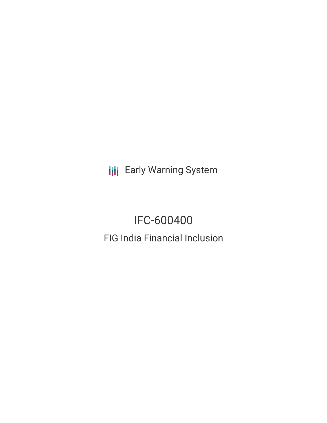**III** Early Warning System

# IFC-600400

FIG India Financial Inclusion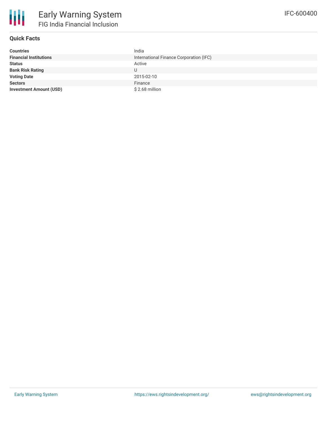

## **Quick Facts**

| <b>Countries</b>               | India                                   |
|--------------------------------|-----------------------------------------|
| <b>Financial Institutions</b>  | International Finance Corporation (IFC) |
| <b>Status</b>                  | Active                                  |
| <b>Bank Risk Rating</b>        |                                         |
| <b>Voting Date</b>             | 2015-02-10                              |
| <b>Sectors</b>                 | Finance                                 |
| <b>Investment Amount (USD)</b> | $$2.68$ million                         |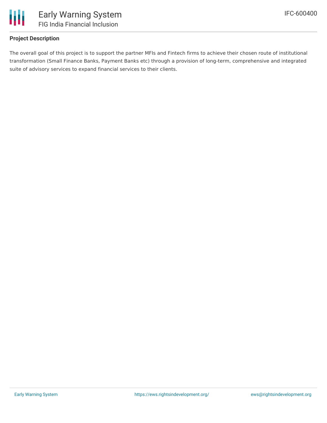

## **Project Description**

The overall goal of this project is to support the partner MFIs and Fintech firms to achieve their chosen route of institutional transformation (Small Finance Banks, Payment Banks etc) through a provision of long-term, comprehensive and integrated suite of advisory services to expand financial services to their clients.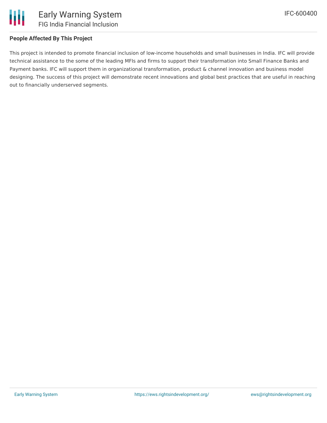

### **People Affected By This Project**

This project is intended to promote financial inclusion of low-income households and small businesses in India. IFC will provide technical assistance to the some of the leading MFIs and firms to support their transformation into Small Finance Banks and Payment banks. IFC will support them in organizational transformation, product & channel innovation and business model designing. The success of this project will demonstrate recent innovations and global best practices that are useful in reaching out to financially underserved segments.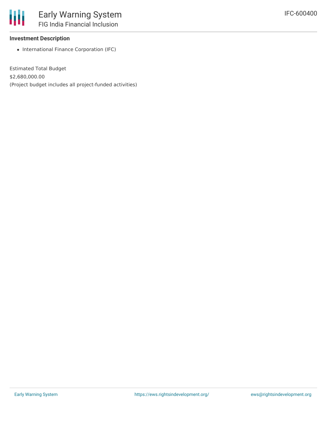#### **Investment Description**

• International Finance Corporation (IFC)

Estimated Total Budget \$2,680,000.00 (Project budget includes all project-funded activities)